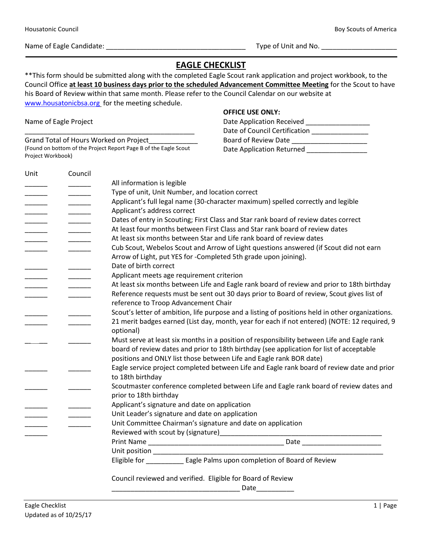Name of Eagle Candidate: \_\_\_\_\_\_\_\_\_\_\_\_\_\_\_\_\_\_\_\_\_\_\_\_\_\_\_\_\_\_\_\_\_\_\_\_\_ Type of Unit and No. \_\_\_\_\_\_\_\_\_\_\_\_\_\_\_\_\_\_\_\_

## **EAGLE CHECKLIST**

\*\*This form should be submitted along with the completed Eagle Scout rank application and project workbook, to the Council Office **at least 10 business days prior to the scheduled Advancement Committee Meeting** for the Scout to have his Board of Review within that same month. Please refer to the Council Calendar on our website at [www.housatonicbsa.org](http://www.housatonicbsa.org/) for the meeting schedule.

Name of Eagle Project

Grand Total of Hours Worked on Project\_\_\_\_\_\_\_\_\_\_\_\_\_ (Found on bottom of the Project Report Page B of the Eagle Scout Project Workbook)

\_\_\_\_\_\_\_\_\_\_\_\_\_\_\_\_\_\_\_\_\_\_\_\_\_\_\_\_\_\_\_\_\_\_\_\_\_\_\_\_\_\_\_\_\_

## **OFFICE USE ONLY:**

| Unit                                                                                                                                                                                                                                                                                                                                                                                                                                                                      | Council |                                                                                                  |
|---------------------------------------------------------------------------------------------------------------------------------------------------------------------------------------------------------------------------------------------------------------------------------------------------------------------------------------------------------------------------------------------------------------------------------------------------------------------------|---------|--------------------------------------------------------------------------------------------------|
|                                                                                                                                                                                                                                                                                                                                                                                                                                                                           |         | All information is legible                                                                       |
| $\begin{tabular}{ccccc} \multicolumn{2}{c }{\textbf{1} & \multicolumn{2}{c }{\textbf{2} & \multicolumn{2}{c }{\textbf{3} & \multicolumn{2}{c }{\textbf{4} & \multicolumn{2}{c }{\textbf{5} & \multicolumn{2}{c }{\textbf{6} & \multicolumn{2}{c }{\textbf{6} & \multicolumn{2}{c }{\textbf{6} & \multicolumn{2}{c }{\textbf{6} & \multicolumn{2}{c }{\textbf{6} & \multicolumn{2}{c }{\textbf{6} & \multicolumn{2}{c }{\textbf{6} & \multicolumn{2}{$<br>______<br>$   -$ |         | Type of unit, Unit Number, and location correct                                                  |
|                                                                                                                                                                                                                                                                                                                                                                                                                                                                           |         | Applicant's full legal name (30-character maximum) spelled correctly and legible                 |
|                                                                                                                                                                                                                                                                                                                                                                                                                                                                           |         | Applicant's address correct                                                                      |
|                                                                                                                                                                                                                                                                                                                                                                                                                                                                           |         | Dates of entry in Scouting; First Class and Star rank board of review dates correct              |
|                                                                                                                                                                                                                                                                                                                                                                                                                                                                           |         | At least four months between First Class and Star rank board of review dates                     |
|                                                                                                                                                                                                                                                                                                                                                                                                                                                                           |         | At least six months between Star and Life rank board of review dates                             |
|                                                                                                                                                                                                                                                                                                                                                                                                                                                                           |         | Cub Scout, Webelos Scout and Arrow of Light questions answered (if Scout did not earn            |
|                                                                                                                                                                                                                                                                                                                                                                                                                                                                           |         | Arrow of Light, put YES for -Completed 5th grade upon joining).                                  |
|                                                                                                                                                                                                                                                                                                                                                                                                                                                                           |         | Date of birth correct                                                                            |
|                                                                                                                                                                                                                                                                                                                                                                                                                                                                           |         | Applicant meets age requirement criterion                                                        |
|                                                                                                                                                                                                                                                                                                                                                                                                                                                                           |         | At least six months between Life and Eagle rank board of review and prior to 18th birthday       |
|                                                                                                                                                                                                                                                                                                                                                                                                                                                                           |         | Reference requests must be sent out 30 days prior to Board of review, Scout gives list of        |
|                                                                                                                                                                                                                                                                                                                                                                                                                                                                           |         | reference to Troop Advancement Chair                                                             |
|                                                                                                                                                                                                                                                                                                                                                                                                                                                                           |         | Scout's letter of ambition, life purpose and a listing of positions held in other organizations. |
|                                                                                                                                                                                                                                                                                                                                                                                                                                                                           |         | 21 merit badges earned (List day, month, year for each if not entered) (NOTE: 12 required, 9     |
|                                                                                                                                                                                                                                                                                                                                                                                                                                                                           |         | optional)                                                                                        |
|                                                                                                                                                                                                                                                                                                                                                                                                                                                                           |         | Must serve at least six months in a position of responsibility between Life and Eagle rank       |
|                                                                                                                                                                                                                                                                                                                                                                                                                                                                           |         | board of review dates and prior to 18th birthday (see application for list of acceptable         |
|                                                                                                                                                                                                                                                                                                                                                                                                                                                                           |         | positions and ONLY list those between Life and Eagle rank BOR date)                              |
|                                                                                                                                                                                                                                                                                                                                                                                                                                                                           |         | Eagle service project completed between Life and Eagle rank board of review date and prior       |
|                                                                                                                                                                                                                                                                                                                                                                                                                                                                           |         | to 18th birthday                                                                                 |
|                                                                                                                                                                                                                                                                                                                                                                                                                                                                           |         | Scoutmaster conference completed between Life and Eagle rank board of review dates and           |
|                                                                                                                                                                                                                                                                                                                                                                                                                                                                           |         | prior to 18th birthday                                                                           |
|                                                                                                                                                                                                                                                                                                                                                                                                                                                                           |         | Applicant's signature and date on application                                                    |
|                                                                                                                                                                                                                                                                                                                                                                                                                                                                           |         | Unit Leader's signature and date on application                                                  |
|                                                                                                                                                                                                                                                                                                                                                                                                                                                                           |         | Unit Committee Chairman's signature and date on application                                      |
|                                                                                                                                                                                                                                                                                                                                                                                                                                                                           |         |                                                                                                  |
|                                                                                                                                                                                                                                                                                                                                                                                                                                                                           |         | Date ________________________                                                                    |
|                                                                                                                                                                                                                                                                                                                                                                                                                                                                           |         |                                                                                                  |
|                                                                                                                                                                                                                                                                                                                                                                                                                                                                           |         | Unit position _________________ Eagle Palms upon completion of Board of Review                   |
|                                                                                                                                                                                                                                                                                                                                                                                                                                                                           |         | Council reviewed and verified. Eligible for Board of Review                                      |
|                                                                                                                                                                                                                                                                                                                                                                                                                                                                           |         | Date                                                                                             |